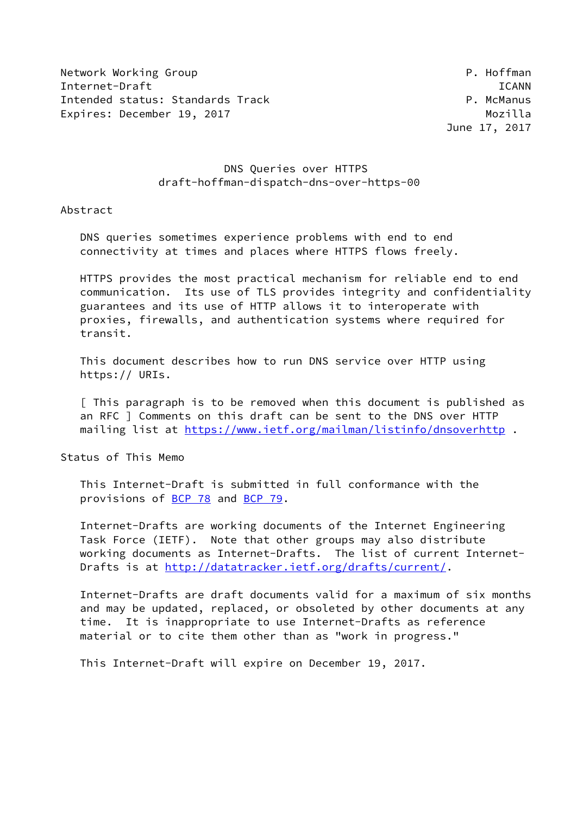Network Working Group **P. Hoffman** Internet-Draft ICANN Intended status: Standards Track extended the P. McManus Expires: December 19, 2017 and the contract of the Mozilla

# DNS Queries over HTTPS draft-hoffman-dispatch-dns-over-https-00

Abstract

 DNS queries sometimes experience problems with end to end connectivity at times and places where HTTPS flows freely.

 HTTPS provides the most practical mechanism for reliable end to end communication. Its use of TLS provides integrity and confidentiality guarantees and its use of HTTP allows it to interoperate with proxies, firewalls, and authentication systems where required for transit.

 This document describes how to run DNS service over HTTP using https:// URIs.

 [ This paragraph is to be removed when this document is published as an RFC ] Comments on this draft can be sent to the DNS over HTTP mailing list at<https://www.ietf.org/mailman/listinfo/dnsoverhttp>.

Status of This Memo

 This Internet-Draft is submitted in full conformance with the provisions of [BCP 78](https://datatracker.ietf.org/doc/pdf/bcp78) and [BCP 79](https://datatracker.ietf.org/doc/pdf/bcp79).

 Internet-Drafts are working documents of the Internet Engineering Task Force (IETF). Note that other groups may also distribute working documents as Internet-Drafts. The list of current Internet- Drafts is at<http://datatracker.ietf.org/drafts/current/>.

 Internet-Drafts are draft documents valid for a maximum of six months and may be updated, replaced, or obsoleted by other documents at any time. It is inappropriate to use Internet-Drafts as reference material or to cite them other than as "work in progress."

This Internet-Draft will expire on December 19, 2017.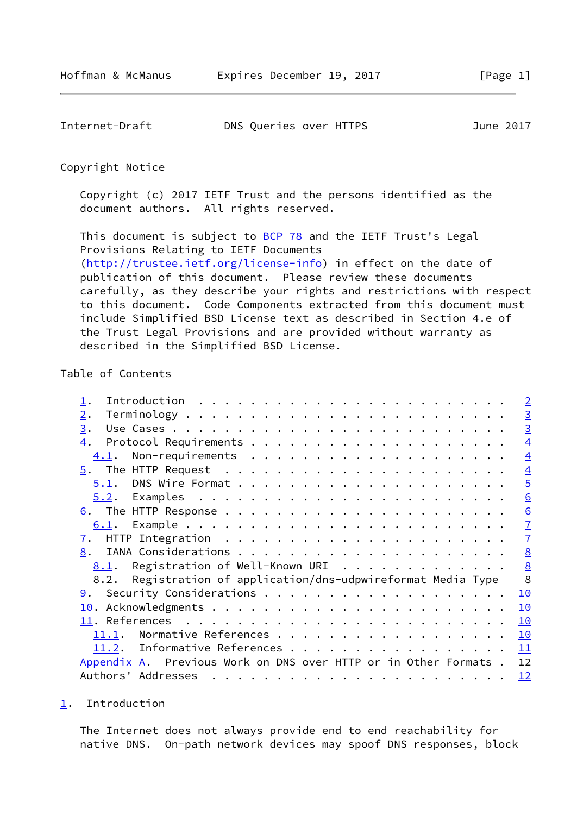<span id="page-1-1"></span>

| Internet-Draft | DNS Queries over HTTPS | June 2017 |
|----------------|------------------------|-----------|
|----------------|------------------------|-----------|

Copyright Notice

 Copyright (c) 2017 IETF Trust and the persons identified as the document authors. All rights reserved.

This document is subject to **[BCP 78](https://datatracker.ietf.org/doc/pdf/bcp78)** and the IETF Trust's Legal Provisions Relating to IETF Documents [\(http://trustee.ietf.org/license-info](http://trustee.ietf.org/license-info)) in effect on the date of publication of this document. Please review these documents carefully, as they describe your rights and restrictions with respect to this document. Code Components extracted from this document must include Simplified BSD License text as described in Section 4.e of the Trust Legal Provisions and are provided without warranty as described in the Simplified BSD License.

## Table of Contents

|                                                                 | $\overline{2}$  |
|-----------------------------------------------------------------|-----------------|
| 2.                                                              | $\overline{3}$  |
| 3.                                                              | $\overline{3}$  |
| 4.                                                              | $\overline{4}$  |
| 4.1.                                                            | $\overline{4}$  |
|                                                                 | $\overline{4}$  |
|                                                                 | $\overline{5}$  |
|                                                                 | 6               |
|                                                                 | $\underline{6}$ |
|                                                                 | $\overline{1}$  |
| <u>7</u> .                                                      | $\overline{1}$  |
| 8.                                                              | 8               |
| <u>8.1</u> . Registration of Well-Known URI 8                   |                 |
| 8.2. Registration of application/dns-udpwireformat Media Type   | 8               |
|                                                                 | 10              |
|                                                                 | 10              |
|                                                                 | 10              |
| Normative References<br>11.1.                                   | 10              |
| 11.2. Informative References                                    | 11              |
| Appendix A. Previous Work on DNS over HTTP or in Other Formats. | 12              |
|                                                                 | 12              |

<span id="page-1-0"></span>[1](#page-1-0). Introduction

 The Internet does not always provide end to end reachability for native DNS. On-path network devices may spoof DNS responses, block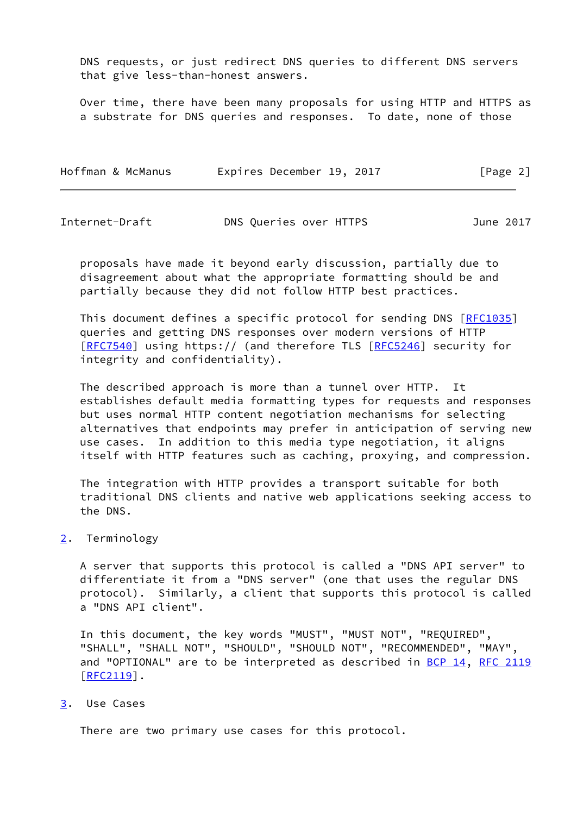DNS requests, or just redirect DNS queries to different DNS servers that give less-than-honest answers.

 Over time, there have been many proposals for using HTTP and HTTPS as a substrate for DNS queries and responses. To date, none of those

| Hoffman & McManus | Expires December 19, 2017 | [Page 2] |
|-------------------|---------------------------|----------|
|-------------------|---------------------------|----------|

<span id="page-2-1"></span>

| Internet-Draft | DNS Queries over HTTPS | June 2017 |
|----------------|------------------------|-----------|
|----------------|------------------------|-----------|

 proposals have made it beyond early discussion, partially due to disagreement about what the appropriate formatting should be and partially because they did not follow HTTP best practices.

This document defines a specific protocol for sending DNS [[RFC1035](https://datatracker.ietf.org/doc/pdf/rfc1035)] queries and getting DNS responses over modern versions of HTTP [\[RFC7540](https://datatracker.ietf.org/doc/pdf/rfc7540)] using https:// (and therefore TLS [\[RFC5246](https://datatracker.ietf.org/doc/pdf/rfc5246)] security for integrity and confidentiality).

 The described approach is more than a tunnel over HTTP. It establishes default media formatting types for requests and responses but uses normal HTTP content negotiation mechanisms for selecting alternatives that endpoints may prefer in anticipation of serving new use cases. In addition to this media type negotiation, it aligns itself with HTTP features such as caching, proxying, and compression.

 The integration with HTTP provides a transport suitable for both traditional DNS clients and native web applications seeking access to the DNS.

## <span id="page-2-0"></span>[2](#page-2-0). Terminology

 A server that supports this protocol is called a "DNS API server" to differentiate it from a "DNS server" (one that uses the regular DNS protocol). Similarly, a client that supports this protocol is called a "DNS API client".

 In this document, the key words "MUST", "MUST NOT", "REQUIRED", "SHALL", "SHALL NOT", "SHOULD", "SHOULD NOT", "RECOMMENDED", "MAY", and "OPTIONAL" are to be interpreted as described in [BCP 14](https://datatracker.ietf.org/doc/pdf/bcp14), [RFC 2119](https://datatracker.ietf.org/doc/pdf/rfc2119) [\[RFC2119](https://datatracker.ietf.org/doc/pdf/rfc2119)].

#### <span id="page-2-2"></span>[3](#page-2-2). Use Cases

There are two primary use cases for this protocol.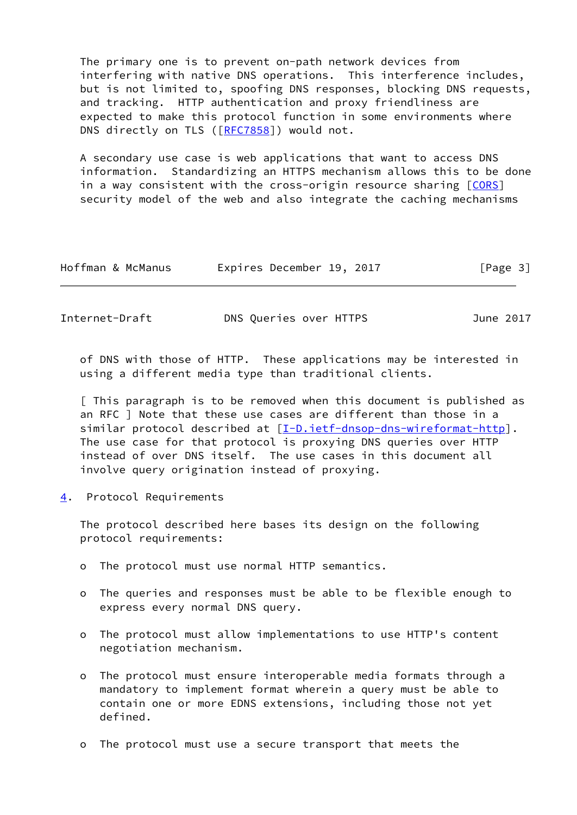The primary one is to prevent on-path network devices from interfering with native DNS operations. This interference includes, but is not limited to, spoofing DNS responses, blocking DNS requests, and tracking. HTTP authentication and proxy friendliness are expected to make this protocol function in some environments where DNS directly on TLS ([\[RFC7858](https://datatracker.ietf.org/doc/pdf/rfc7858)]) would not.

 A secondary use case is web applications that want to access DNS information. Standardizing an HTTPS mechanism allows this to be done in a way consistent with the cross-origin resource sharing  $[CORS]$  $[CORS]$ security model of the web and also integrate the caching mechanisms

| Hoffman & McManus<br>Expires December 19, 2017 |  | [Page 3] |
|------------------------------------------------|--|----------|
|------------------------------------------------|--|----------|

<span id="page-3-1"></span>Internet-Draft DNS Queries over HTTPS June 2017

 of DNS with those of HTTP. These applications may be interested in using a different media type than traditional clients.

 [ This paragraph is to be removed when this document is published as an RFC ] Note that these use cases are different than those in a similar protocol described at [[I-D.ietf-dnsop-dns-wireformat-http\]](#page-11-3). The use case for that protocol is proxying DNS queries over HTTP instead of over DNS itself. The use cases in this document all involve query origination instead of proxying.

<span id="page-3-0"></span>[4](#page-3-0). Protocol Requirements

 The protocol described here bases its design on the following protocol requirements:

- o The protocol must use normal HTTP semantics.
- o The queries and responses must be able to be flexible enough to express every normal DNS query.
- o The protocol must allow implementations to use HTTP's content negotiation mechanism.
- o The protocol must ensure interoperable media formats through a mandatory to implement format wherein a query must be able to contain one or more EDNS extensions, including those not yet defined.
- o The protocol must use a secure transport that meets the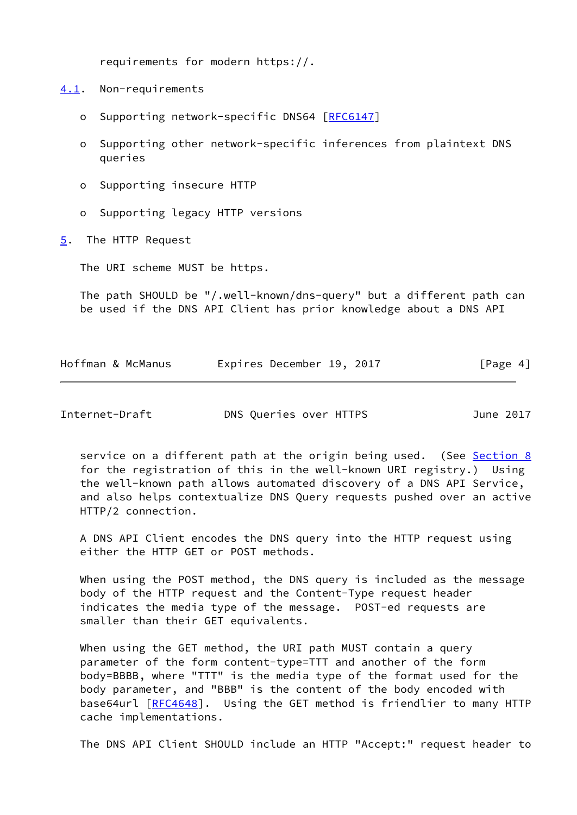requirements for modern https://.

<span id="page-4-0"></span>[4.1](#page-4-0). Non-requirements

- o Supporting network-specific DNS64 [\[RFC6147](https://datatracker.ietf.org/doc/pdf/rfc6147)]
- o Supporting other network-specific inferences from plaintext DNS queries
- o Supporting insecure HTTP
- o Supporting legacy HTTP versions
- <span id="page-4-1"></span>[5](#page-4-1). The HTTP Request

The URI scheme MUST be https.

 The path SHOULD be "/.well-known/dns-query" but a different path can be used if the DNS API Client has prior knowledge about a DNS API

| Hoffman & McManus | Expires December 19, 2017 |  | [Page 4] |
|-------------------|---------------------------|--|----------|
|-------------------|---------------------------|--|----------|

<span id="page-4-2"></span>Internet-Draft DNS Queries over HTTPS June 2017

service on a different path at the origin being used. (See [Section 8](#page-8-0) for the registration of this in the well-known URI registry.) Using the well-known path allows automated discovery of a DNS API Service, and also helps contextualize DNS Query requests pushed over an active HTTP/2 connection.

 A DNS API Client encodes the DNS query into the HTTP request using either the HTTP GET or POST methods.

 When using the POST method, the DNS query is included as the message body of the HTTP request and the Content-Type request header indicates the media type of the message. POST-ed requests are smaller than their GET equivalents.

 When using the GET method, the URI path MUST contain a query parameter of the form content-type=TTT and another of the form body=BBBB, where "TTT" is the media type of the format used for the body parameter, and "BBB" is the content of the body encoded with base64url [[RFC4648](https://datatracker.ietf.org/doc/pdf/rfc4648)]. Using the GET method is friendlier to many HTTP cache implementations.

The DNS API Client SHOULD include an HTTP "Accept:" request header to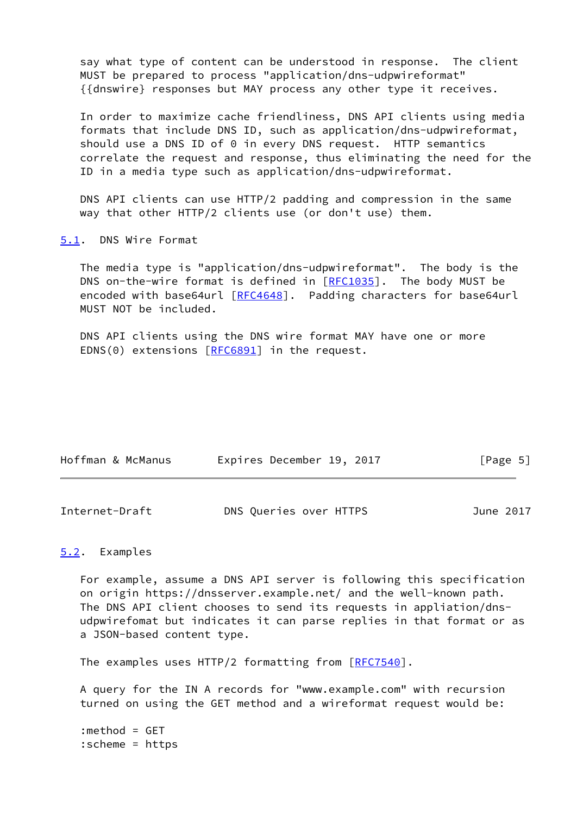say what type of content can be understood in response. The client MUST be prepared to process "application/dns-udpwireformat" {{dnswire} responses but MAY process any other type it receives.

 In order to maximize cache friendliness, DNS API clients using media formats that include DNS ID, such as application/dns-udpwireformat, should use a DNS ID of 0 in every DNS request. HTTP semantics correlate the request and response, thus eliminating the need for the ID in a media type such as application/dns-udpwireformat.

 DNS API clients can use HTTP/2 padding and compression in the same way that other HTTP/2 clients use (or don't use) them.

<span id="page-5-0"></span>[5.1](#page-5-0). DNS Wire Format

 The media type is "application/dns-udpwireformat". The body is the DNS on-the-wire format is defined in [\[RFC1035](https://datatracker.ietf.org/doc/pdf/rfc1035)]. The body MUST be encoded with base64url [\[RFC4648](https://datatracker.ietf.org/doc/pdf/rfc4648)]. Padding characters for base64url MUST NOT be included.

 DNS API clients using the DNS wire format MAY have one or more EDNS(0) extensions [[RFC6891\]](https://datatracker.ietf.org/doc/pdf/rfc6891) in the request.

| Hoffman & McManus | Expires December 19, 2017 | [Page 5] |
|-------------------|---------------------------|----------|
|                   |                           |          |

<span id="page-5-2"></span>

| Internet-Draft | DNS Queries over HTTPS | June 2017 |
|----------------|------------------------|-----------|
|----------------|------------------------|-----------|

### <span id="page-5-1"></span>[5.2](#page-5-1). Examples

 For example, assume a DNS API server is following this specification on origin https://dnsserver.example.net/ and the well-known path. The DNS API client chooses to send its requests in appliation/dns udpwirefomat but indicates it can parse replies in that format or as a JSON-based content type.

The examples uses HTTP/2 formatting from [\[RFC7540](https://datatracker.ietf.org/doc/pdf/rfc7540)].

 A query for the IN A records for "www.example.com" with recursion turned on using the GET method and a wireformat request would be:

 :method = GET :scheme = https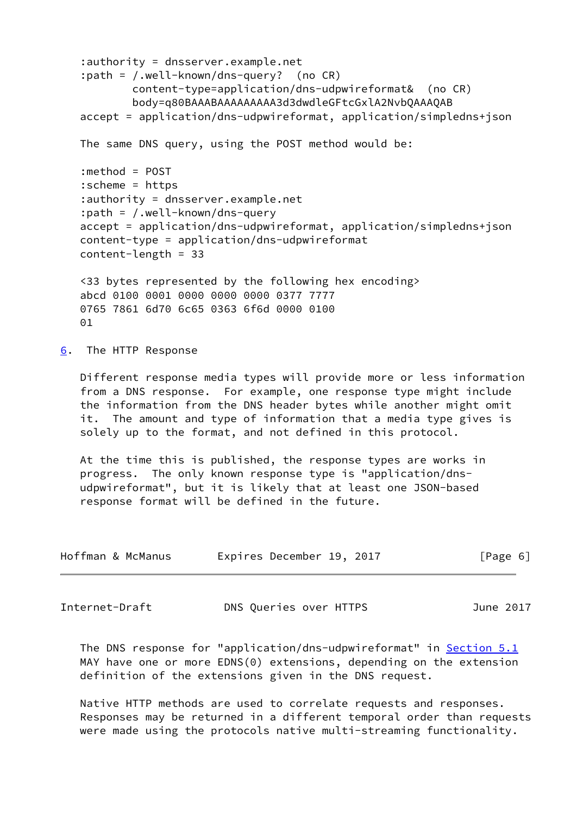```
 :authority = dnsserver.example.net
 :path = /.well-known/dns-query? (no CR)
         content-type=application/dns-udpwireformat& (no CR)
         body=q80BAAABAAAAAAAAA3d3dwdleGFtcGxlA2NvbQAAAQAB
 accept = application/dns-udpwireformat, application/simpledns+json
 The same DNS query, using the POST method would be:
 :method = POST
 :scheme = https
 :authority = dnsserver.example.net
 :path = /.well-known/dns-query
 accept = application/dns-udpwireformat, application/simpledns+json
 content-type = application/dns-udpwireformat
 content-length = 33
 <33 bytes represented by the following hex encoding>
 abcd 0100 0001 0000 0000 0000 0377 7777
 0765 7861 6d70 6c65 0363 6f6d 0000 0100
01
```
<span id="page-6-0"></span>[6](#page-6-0). The HTTP Response

 Different response media types will provide more or less information from a DNS response. For example, one response type might include the information from the DNS header bytes while another might omit it. The amount and type of information that a media type gives is solely up to the format, and not defined in this protocol.

 At the time this is published, the response types are works in progress. The only known response type is "application/dns udpwireformat", but it is likely that at least one JSON-based response format will be defined in the future.

| Hoffman & McManus | Expires December 19, 2017 |  | [Page 6] |
|-------------------|---------------------------|--|----------|
|-------------------|---------------------------|--|----------|

<span id="page-6-1"></span>Internet-Draft DNS Queries over HTTPS June 2017

 The DNS response for "application/dns-udpwireformat" in [Section 5.1](#page-5-0) MAY have one or more EDNS(0) extensions, depending on the extension definition of the extensions given in the DNS request.

 Native HTTP methods are used to correlate requests and responses. Responses may be returned in a different temporal order than requests were made using the protocols native multi-streaming functionality.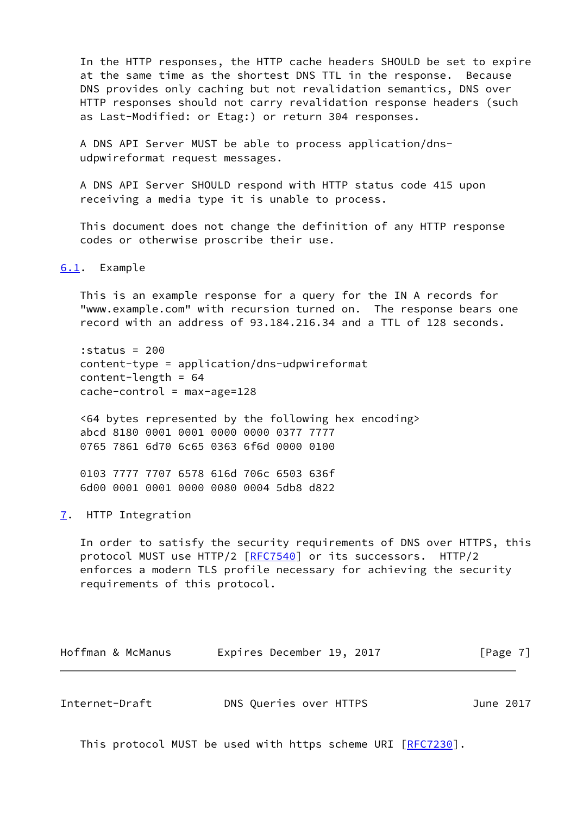In the HTTP responses, the HTTP cache headers SHOULD be set to expire at the same time as the shortest DNS TTL in the response. Because DNS provides only caching but not revalidation semantics, DNS over HTTP responses should not carry revalidation response headers (such as Last-Modified: or Etag:) or return 304 responses.

 A DNS API Server MUST be able to process application/dns udpwireformat request messages.

 A DNS API Server SHOULD respond with HTTP status code 415 upon receiving a media type it is unable to process.

 This document does not change the definition of any HTTP response codes or otherwise proscribe their use.

<span id="page-7-0"></span>[6.1](#page-7-0). Example

 This is an example response for a query for the IN A records for "www.example.com" with recursion turned on. The response bears one record with an address of 93.184.216.34 and a TTL of 128 seconds.

 :status = 200 content-type = application/dns-udpwireformat content-length = 64  $cache-control = max-age=128$ 

 <64 bytes represented by the following hex encoding> abcd 8180 0001 0001 0000 0000 0377 7777 0765 7861 6d70 6c65 0363 6f6d 0000 0100

 0103 7777 7707 6578 616d 706c 6503 636f 6d00 0001 0001 0000 0080 0004 5db8 d822

<span id="page-7-1"></span>[7](#page-7-1). HTTP Integration

 In order to satisfy the security requirements of DNS over HTTPS, this protocol MUST use HTTP/2 [\[RFC7540](https://datatracker.ietf.org/doc/pdf/rfc7540)] or its successors. HTTP/2 enforces a modern TLS profile necessary for achieving the security requirements of this protocol.

| Hoffman & McManus | Expires December 19, 2017 |  | [Page 7] |  |
|-------------------|---------------------------|--|----------|--|
|                   |                           |  |          |  |

<span id="page-7-2"></span>

| Internet-Draft | DNS Queries over HTTPS | June 2017 |
|----------------|------------------------|-----------|
|----------------|------------------------|-----------|

This protocol MUST be used with https scheme URI [\[RFC7230](https://datatracker.ietf.org/doc/pdf/rfc7230)].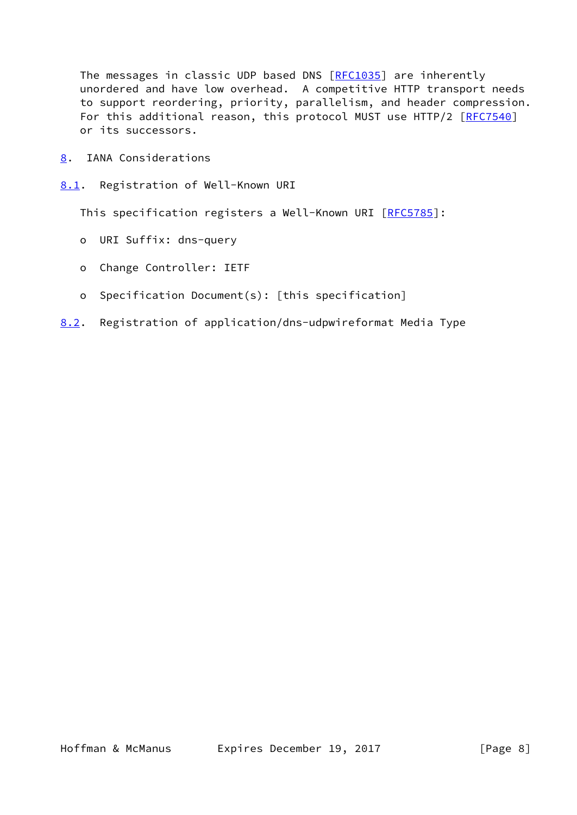The messages in classic UDP based DNS [[RFC1035](https://datatracker.ietf.org/doc/pdf/rfc1035)] are inherently unordered and have low overhead. A competitive HTTP transport needs to support reordering, priority, parallelism, and header compression. For this additional reason, this protocol MUST use HTTP/2 [[RFC7540](https://datatracker.ietf.org/doc/pdf/rfc7540)] or its successors.

- <span id="page-8-0"></span>[8](#page-8-0). IANA Considerations
- <span id="page-8-1"></span>[8.1](#page-8-1). Registration of Well-Known URI

This specification registers a Well-Known URI [[RFC5785](https://datatracker.ietf.org/doc/pdf/rfc5785)]:

- o URI Suffix: dns-query
- o Change Controller: IETF
- o Specification Document(s): [this specification]
- <span id="page-8-2"></span>[8.2](#page-8-2). Registration of application/dns-udpwireformat Media Type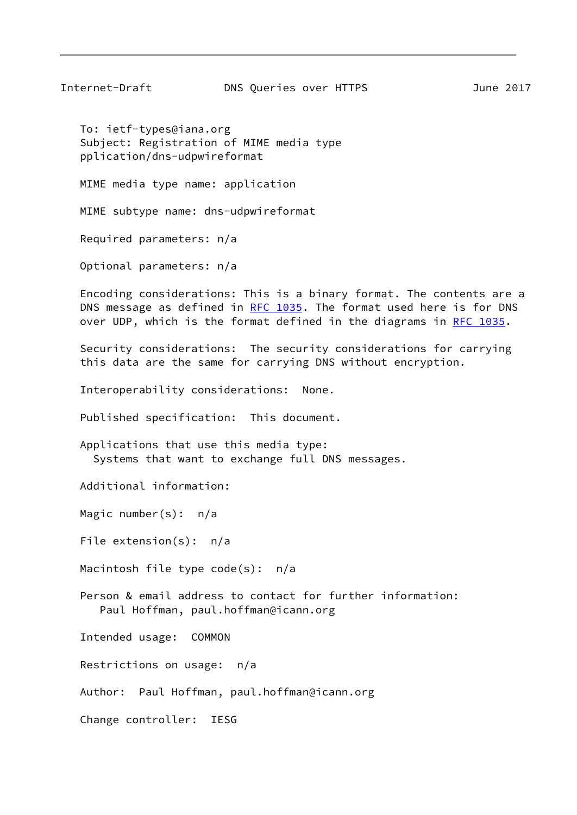Internet-Draft DNS Queries over HTTPS June 2017

 To: ietf-types@iana.org Subject: Registration of MIME media type pplication/dns-udpwireformat

MIME media type name: application

MIME subtype name: dns-udpwireformat

Required parameters: n/a

Optional parameters: n/a

 Encoding considerations: This is a binary format. The contents are a DNS message as defined in [RFC 1035](https://datatracker.ietf.org/doc/pdf/rfc1035). The format used here is for DNS over UDP, which is the format defined in the diagrams in [RFC 1035](https://datatracker.ietf.org/doc/pdf/rfc1035).

 Security considerations: The security considerations for carrying this data are the same for carrying DNS without encryption.

Interoperability considerations: None.

Published specification: This document.

 Applications that use this media type: Systems that want to exchange full DNS messages.

Additional information:

Magic number(s): n/a

File extension(s): n/a

Macintosh file type code(s): n/a

 Person & email address to contact for further information: Paul Hoffman, paul.hoffman@icann.org

Intended usage: COMMON

Restrictions on usage: n/a

Author: Paul Hoffman, paul.hoffman@icann.org

Change controller: IESG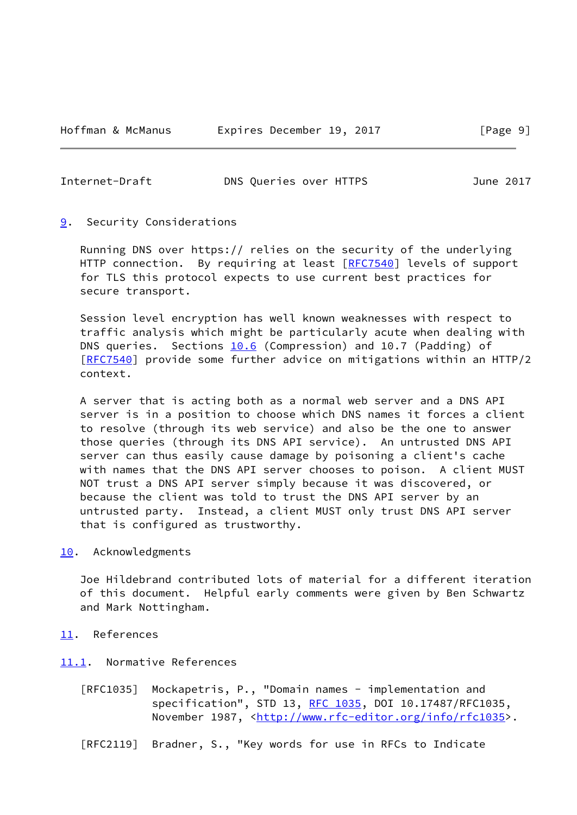<span id="page-10-1"></span>

|  | Internet-Draft | DNS Queries over HTTPS | June 2017 |
|--|----------------|------------------------|-----------|
|--|----------------|------------------------|-----------|

<span id="page-10-0"></span>[9](#page-10-0). Security Considerations

 Running DNS over https:// relies on the security of the underlying HTTP connection. By requiring at least [\[RFC7540](https://datatracker.ietf.org/doc/pdf/rfc7540)] levels of support for TLS this protocol expects to use current best practices for secure transport.

 Session level encryption has well known weaknesses with respect to traffic analysis which might be particularly acute when dealing with DNS queries. Sections 10.6 (Compression) and 10.7 (Padding) of [\[RFC7540](https://datatracker.ietf.org/doc/pdf/rfc7540)] provide some further advice on mitigations within an HTTP/2 context.

 A server that is acting both as a normal web server and a DNS API server is in a position to choose which DNS names it forces a client to resolve (through its web service) and also be the one to answer those queries (through its DNS API service). An untrusted DNS API server can thus easily cause damage by poisoning a client's cache with names that the DNS API server chooses to poison. A client MUST NOT trust a DNS API server simply because it was discovered, or because the client was told to trust the DNS API server by an untrusted party. Instead, a client MUST only trust DNS API server that is configured as trustworthy.

<span id="page-10-2"></span>[10.](#page-10-2) Acknowledgments

 Joe Hildebrand contributed lots of material for a different iteration of this document. Helpful early comments were given by Ben Schwartz and Mark Nottingham.

- <span id="page-10-3"></span>[11.](#page-10-3) References
- <span id="page-10-4"></span>[11.1](#page-10-4). Normative References
	- [RFC1035] Mockapetris, P., "Domain names implementation and specification", STD 13, [RFC 1035,](https://datatracker.ietf.org/doc/pdf/rfc1035) DOI 10.17487/RFC1035, November 1987, <<http://www.rfc-editor.org/info/rfc1035>>.
	- [RFC2119] Bradner, S., "Key words for use in RFCs to Indicate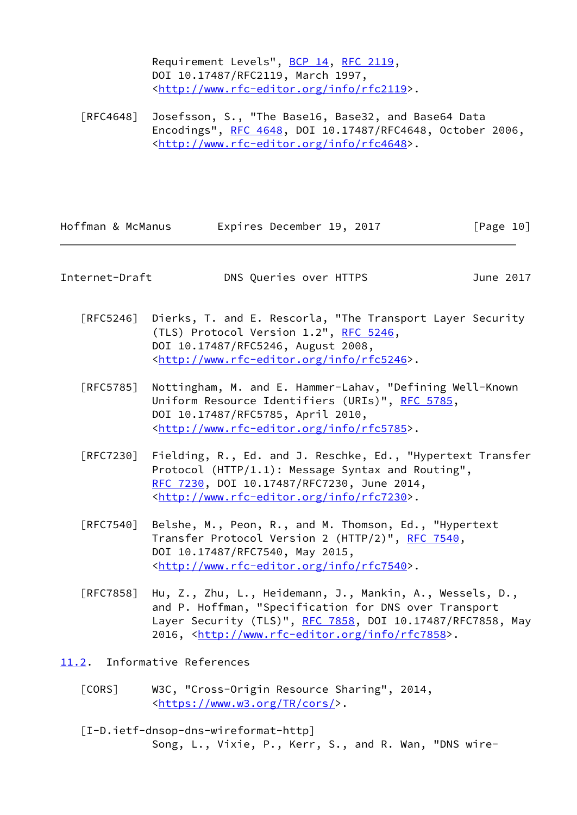Requirement Levels", [BCP 14](https://datatracker.ietf.org/doc/pdf/bcp14), [RFC 2119](https://datatracker.ietf.org/doc/pdf/rfc2119), DOI 10.17487/RFC2119, March 1997, <<http://www.rfc-editor.org/info/rfc2119>>.

 [RFC4648] Josefsson, S., "The Base16, Base32, and Base64 Data Encodings", [RFC 4648,](https://datatracker.ietf.org/doc/pdf/rfc4648) DOI 10.17487/RFC4648, October 2006, <<http://www.rfc-editor.org/info/rfc4648>>.

| Hoffman & McManus | Expires December 19, 2017 |  | [Page 10] |
|-------------------|---------------------------|--|-----------|
|-------------------|---------------------------|--|-----------|

<span id="page-11-1"></span>Internet-Draft DNS Queries over HTTPS June 2017

- [RFC5246] Dierks, T. and E. Rescorla, "The Transport Layer Security (TLS) Protocol Version  $1.2^{\prime\prime}$ , [RFC 5246](https://datatracker.ietf.org/doc/pdf/rfc5246), DOI 10.17487/RFC5246, August 2008, <<http://www.rfc-editor.org/info/rfc5246>>.
- [RFC5785] Nottingham, M. and E. Hammer-Lahav, "Defining Well-Known Uniform Resource Identifiers (URIs)", [RFC 5785](https://datatracker.ietf.org/doc/pdf/rfc5785), DOI 10.17487/RFC5785, April 2010, <<http://www.rfc-editor.org/info/rfc5785>>.
- [RFC7230] Fielding, R., Ed. and J. Reschke, Ed., "Hypertext Transfer Protocol (HTTP/1.1): Message Syntax and Routing", [RFC 7230,](https://datatracker.ietf.org/doc/pdf/rfc7230) DOI 10.17487/RFC7230, June 2014, <<http://www.rfc-editor.org/info/rfc7230>>.
- [RFC7540] Belshe, M., Peon, R., and M. Thomson, Ed., "Hypertext Transfer Protocol Version 2 (HTTP/2)", [RFC 7540](https://datatracker.ietf.org/doc/pdf/rfc7540), DOI 10.17487/RFC7540, May 2015, <<http://www.rfc-editor.org/info/rfc7540>>.
- [RFC7858] Hu, Z., Zhu, L., Heidemann, J., Mankin, A., Wessels, D., and P. Hoffman, "Specification for DNS over Transport Layer Security (TLS)", [RFC 7858](https://datatracker.ietf.org/doc/pdf/rfc7858), DOI 10.17487/RFC7858, May 2016, [<http://www.rfc-editor.org/info/rfc7858](http://www.rfc-editor.org/info/rfc7858)>.
- <span id="page-11-3"></span><span id="page-11-2"></span><span id="page-11-0"></span>[11.2](#page-11-0). Informative References
	- [CORS] W3C, "Cross-Origin Resource Sharing", 2014, <[https://www.w3.org/TR/cors/>](https://www.w3.org/TR/cors/).
	- [I-D.ietf-dnsop-dns-wireformat-http] Song, L., Vixie, P., Kerr, S., and R. Wan, "DNS wire-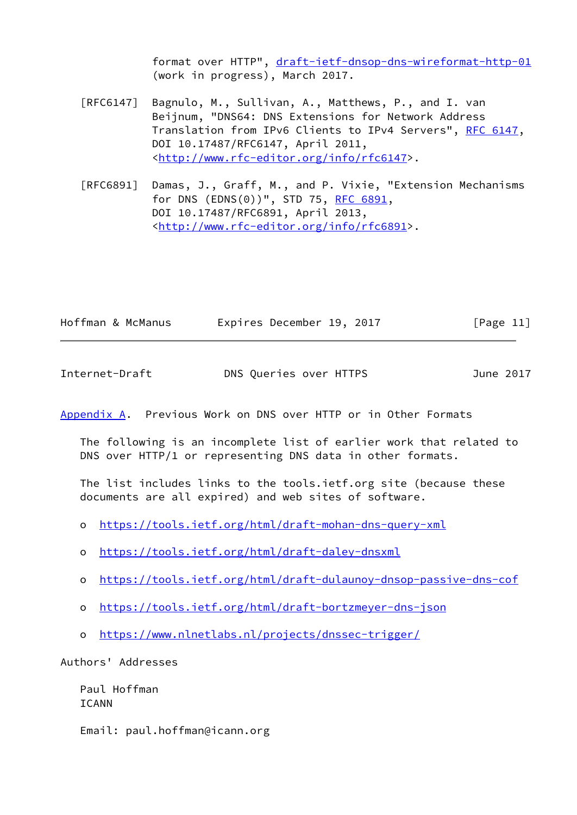format over HTTP", [draft-ietf-dnsop-dns-wireformat-http-01](https://datatracker.ietf.org/doc/pdf/draft-ietf-dnsop-dns-wireformat-http-01) (work in progress), March 2017.

- [RFC6147] Bagnulo, M., Sullivan, A., Matthews, P., and I. van Beijnum, "DNS64: DNS Extensions for Network Address Translation from IPv6 Clients to IPv4 Servers", [RFC 6147,](https://datatracker.ietf.org/doc/pdf/rfc6147) DOI 10.17487/RFC6147, April 2011, <<http://www.rfc-editor.org/info/rfc6147>>.
- [RFC6891] Damas, J., Graff, M., and P. Vixie, "Extension Mechanisms for DNS (EDNS(0))", STD 75, [RFC 6891,](https://datatracker.ietf.org/doc/pdf/rfc6891) DOI 10.17487/RFC6891, April 2013, <<http://www.rfc-editor.org/info/rfc6891>>.

| Hoffman & McManus | Expires December 19, 2017 |  | [Page 11] |
|-------------------|---------------------------|--|-----------|
|-------------------|---------------------------|--|-----------|

<span id="page-12-1"></span>Internet-Draft DNS Queries over HTTPS June 2017

<span id="page-12-0"></span>[Appendix A.](#page-12-0) Previous Work on DNS over HTTP or in Other Formats

 The following is an incomplete list of earlier work that related to DNS over HTTP/1 or representing DNS data in other formats.

 The list includes links to the tools.ietf.org site (because these documents are all expired) and web sites of software.

- o <https://tools.ietf.org/html/draft-mohan-dns-query-xml>
- o <https://tools.ietf.org/html/draft-daley-dnsxml>
- o <https://tools.ietf.org/html/draft-dulaunoy-dnsop-passive-dns-cof>
- o <https://tools.ietf.org/html/draft-bortzmeyer-dns-json>
- o <https://www.nlnetlabs.nl/projects/dnssec-trigger/>

Authors' Addresses

 Paul Hoffman ICANN

Email: paul.hoffman@icann.org